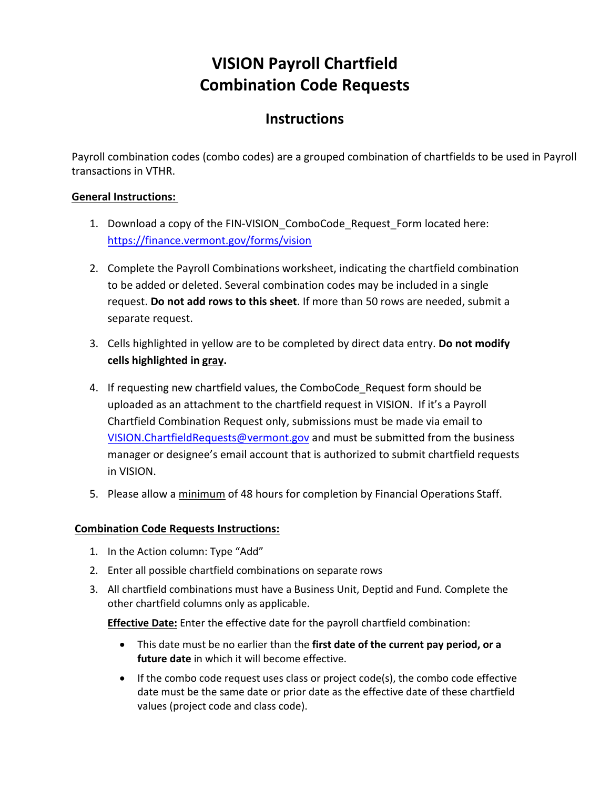## **VISION Payroll Chartfield Combination Code Requests**

## **Instructions**

Payroll combination codes (combo codes) are a grouped combination of chartfields to be used in Payroll transactions in VTHR.

## **General Instructions:**

- 1. Download a copy of the FIN-VISION\_ComboCode\_Request\_Form located here: <https://finance.vermont.gov/forms/vision>
- 2. Complete the Payroll Combinations worksheet, indicating the chartfield combination to be added or deleted. Several combination codes may be included in a single request. **Do not add rows to this sheet**. If more than 50 rows are needed, submit a separate request.
- 3. Cells highlighted in yellow are to be completed by direct data entry. **Do not modify cells highlighted in gray.**
- 4. If requesting new chartfield values, the ComboCode Request form should be uploaded as an attachment to the chartfield request in VISION. If it's a Payroll Chartfield Combination Request only, submissions must be made via email t[o](mailto:VISION.ChartfieldRequests@vermont.gov) [VISION.ChartfieldRequests@vermont.gov](mailto:VISION.ChartfieldRequests@vermont.gov) and must be submitted from the business manager or designee's email account that is authorized to submit chartfield requests in VISION.
- 5. Please allow a minimum of 48 hours for completion by Financial Operations Staff.

## **Combination Code Requests Instructions:**

- 1. In the Action column: Type "Add"
- 2. Enter all possible chartfield combinations on separate rows
- 3. All chartfield combinations must have a Business Unit, Deptid and Fund. Complete the other chartfield columns only as applicable.

**Effective Date:** Enter the effective date for the payroll chartfield combination:

- This date must be no earlier than the **first date of the current pay period, or a future date** in which it will become effective.
- If the combo code request uses class or project code(s), the combo code effective date must be the same date or prior date as the effective date of these chartfield values (project code and class code).